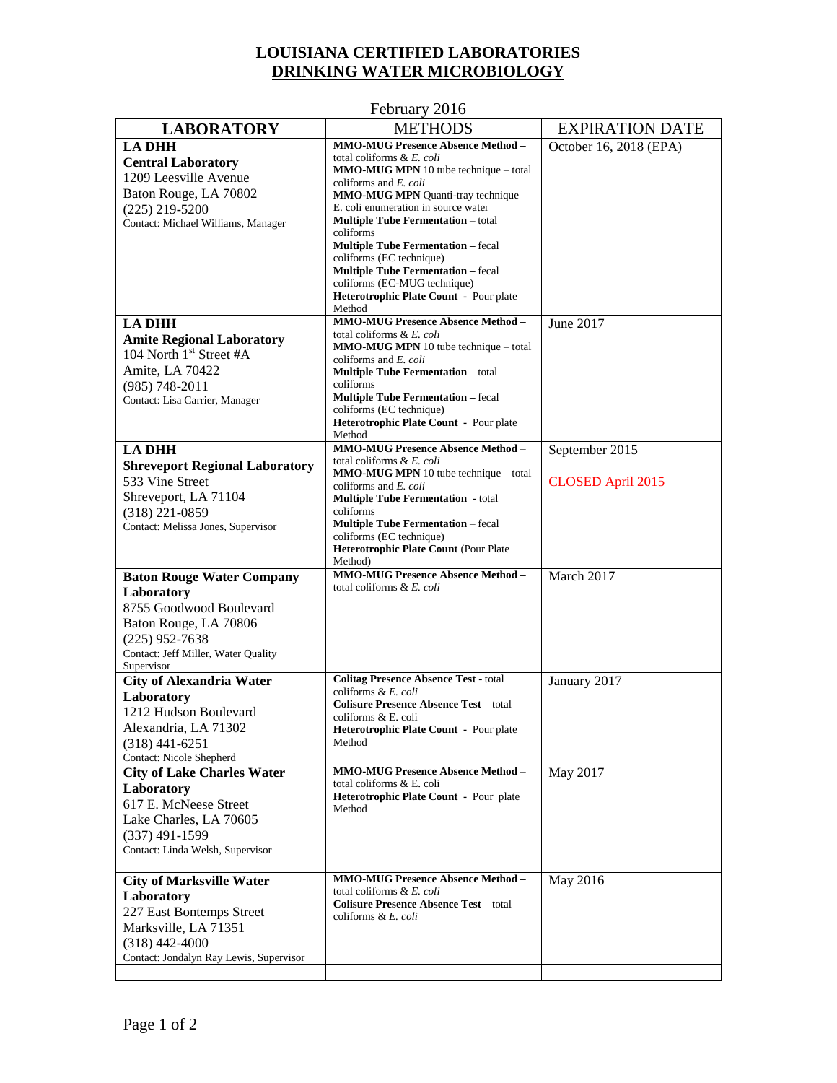## **LOUISIANA CERTIFIED LABORATORIES DRINKING WATER MICROBIOLOGY**

|                                                         | $1$ column $\gamma$ 2010                                                |                          |
|---------------------------------------------------------|-------------------------------------------------------------------------|--------------------------|
| <b>LABORATORY</b>                                       | <b>METHODS</b>                                                          | <b>EXPIRATION DATE</b>   |
| <b>LA DHH</b>                                           | <b>MMO-MUG Presence Absence Method -</b>                                | October 16, 2018 (EPA)   |
| <b>Central Laboratory</b>                               | total coliforms & E. coli                                               |                          |
| 1209 Leesville Avenue                                   | <b>MMO-MUG MPN</b> 10 tube technique – total                            |                          |
| Baton Rouge, LA 70802                                   | coliforms and E. coli<br>MMO-MUG MPN Quanti-tray technique -            |                          |
| $(225)$ 219-5200                                        | E. coli enumeration in source water                                     |                          |
| Contact: Michael Williams, Manager                      | <b>Multiple Tube Fermentation</b> – total                               |                          |
|                                                         | coliforms                                                               |                          |
|                                                         | <b>Multiple Tube Fermentation - fecal</b>                               |                          |
|                                                         | coliforms (EC technique)                                                |                          |
|                                                         | <b>Multiple Tube Fermentation - fecal</b>                               |                          |
|                                                         | coliforms (EC-MUG technique)<br>Heterotrophic Plate Count - Pour plate  |                          |
|                                                         | Method                                                                  |                          |
| <b>LA DHH</b>                                           | <b>MMO-MUG Presence Absence Method -</b>                                | June 2017                |
| <b>Amite Regional Laboratory</b>                        | total coliforms & E. coli                                               |                          |
| 104 North 1 <sup>st</sup> Street #A                     | MMO-MUG MPN 10 tube technique - total                                   |                          |
|                                                         | coliforms and E. coli                                                   |                          |
| Amite, LA 70422                                         | <b>Multiple Tube Fermentation</b> - total                               |                          |
| $(985) 748 - 2011$                                      | coliforms<br><b>Multiple Tube Fermentation</b> – fecal                  |                          |
| Contact: Lisa Carrier, Manager                          | coliforms (EC technique)                                                |                          |
|                                                         | Heterotrophic Plate Count - Pour plate                                  |                          |
|                                                         | Method                                                                  |                          |
| <b>LA DHH</b>                                           | <b>MMO-MUG Presence Absence Method -</b>                                | September 2015           |
| <b>Shreveport Regional Laboratory</b>                   | total coliforms & E. coli<br>MMO-MUG MPN 10 tube technique - total      |                          |
| 533 Vine Street                                         | coliforms and $E$ , coli                                                | <b>CLOSED April 2015</b> |
| Shreveport, LA 71104                                    | <b>Multiple Tube Fermentation</b> - total                               |                          |
| $(318)$ 221-0859                                        | coliforms                                                               |                          |
| Contact: Melissa Jones, Supervisor                      | <b>Multiple Tube Fermentation</b> - fecal                               |                          |
|                                                         | coliforms (EC technique)                                                |                          |
|                                                         | Heterotrophic Plate Count (Pour Plate<br>Method)                        |                          |
| <b>Baton Rouge Water Company</b>                        | <b>MMO-MUG Presence Absence Method -</b>                                | March 2017               |
| Laboratory                                              | total coliforms & E. coli                                               |                          |
| 8755 Goodwood Boulevard                                 |                                                                         |                          |
| Baton Rouge, LA 70806                                   |                                                                         |                          |
|                                                         |                                                                         |                          |
| $(225)$ 952-7638<br>Contact: Jeff Miller, Water Quality |                                                                         |                          |
| Supervisor                                              |                                                                         |                          |
| <b>City of Alexandria Water</b>                         | <b>Colitag Presence Absence Test - total</b>                            | January 2017             |
| Laboratory                                              | coliforms & E. coli                                                     |                          |
| 1212 Hudson Boulevard                                   | <b>Colisure Presence Absence Test - total</b><br>coliforms & E. coli    |                          |
| Alexandria, LA 71302                                    | <b>Heterotrophic Plate Count - Pour plate</b>                           |                          |
| $(318)$ 441-6251                                        | Method                                                                  |                          |
| <b>Contact: Nicole Shepherd</b>                         |                                                                         |                          |
| <b>City of Lake Charles Water</b>                       | <b>MMO-MUG Presence Absence Method -</b>                                | May 2017                 |
| Laboratory                                              | total coliforms & E. coli                                               |                          |
| 617 E. McNeese Street                                   | Heterotrophic Plate Count - Pour plate                                  |                          |
| Lake Charles, LA 70605                                  | Method                                                                  |                          |
| $(337)$ 491-1599                                        |                                                                         |                          |
| Contact: Linda Welsh, Supervisor                        |                                                                         |                          |
|                                                         |                                                                         |                          |
| <b>City of Marksville Water</b>                         | <b>MMO-MUG Presence Absence Method -</b>                                | May 2016                 |
| Laboratory                                              | total coliforms & E. coli                                               |                          |
| 227 East Bontemps Street                                | <b>Colisure Presence Absence Test - total</b><br>coliforms & $E$ , coli |                          |
| Marksville, LA 71351                                    |                                                                         |                          |
| $(318)$ 442-4000                                        |                                                                         |                          |
| Contact: Jondalyn Ray Lewis, Supervisor                 |                                                                         |                          |
|                                                         |                                                                         |                          |